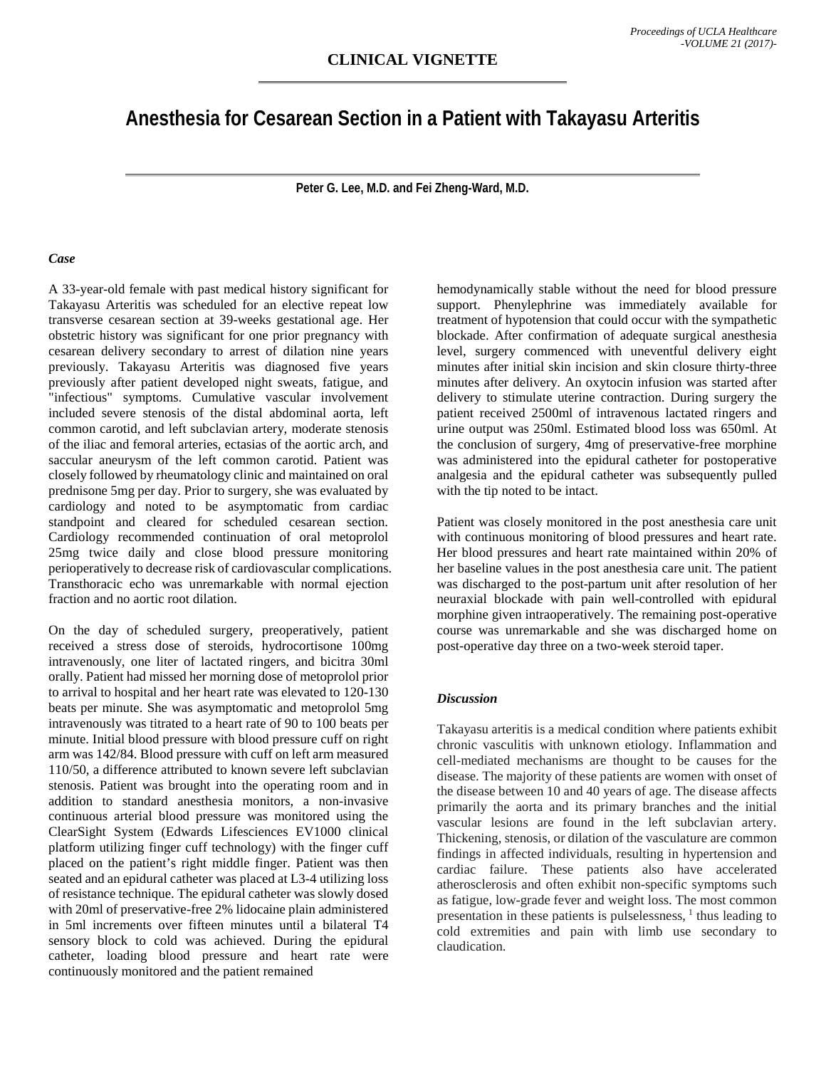## **Anesthesia for Cesarean Section in a Patient with Takayasu Arteritis**

**Peter G. Lee, M.D. and Fei Zheng-Ward, M.D.**

## *Case*

A 33-year-old female with past medical history significant for Takayasu Arteritis was scheduled for an elective repeat low transverse cesarean section at 39-weeks gestational age. Her obstetric history was significant for one prior pregnancy with cesarean delivery secondary to arrest of dilation nine years previously. Takayasu Arteritis was diagnosed five years previously after patient developed night sweats, fatigue, and "infectious" symptoms. Cumulative vascular involvement included severe stenosis of the distal abdominal aorta, left common carotid, and left subclavian artery, moderate stenosis of the iliac and femoral arteries, ectasias of the aortic arch, and saccular aneurysm of the left common carotid. Patient was closely followed by rheumatology clinic and maintained on oral prednisone 5mg per day. Prior to surgery, she was evaluated by cardiology and noted to be asymptomatic from cardiac standpoint and cleared for scheduled cesarean section. Cardiology recommended continuation of oral metoprolol 25mg twice daily and close blood pressure monitoring perioperatively to decrease risk of cardiovascular complications. Transthoracic echo was unremarkable with normal ejection fraction and no aortic root dilation.

On the day of scheduled surgery, preoperatively, patient received a stress dose of steroids, hydrocortisone 100mg intravenously, one liter of lactated ringers, and bicitra 30ml orally. Patient had missed her morning dose of metoprolol prior to arrival to hospital and her heart rate was elevated to 120-130 beats per minute. She was asymptomatic and metoprolol 5mg intravenously was titrated to a heart rate of 90 to 100 beats per minute. Initial blood pressure with blood pressure cuff on right arm was 142/84. Blood pressure with cuff on left arm measured 110/50, a difference attributed to known severe left subclavian stenosis. Patient was brought into the operating room and in addition to standard anesthesia monitors, a non-invasive continuous arterial blood pressure was monitored using the ClearSight System (Edwards Lifesciences EV1000 clinical platform utilizing finger cuff technology) with the finger cuff placed on the patient's right middle finger. Patient was then seated and an epidural catheter was placed at L3-4 utilizing loss of resistance technique. The epidural catheter was slowly dosed with 20ml of preservative-free 2% lidocaine plain administered in 5ml increments over fifteen minutes until a bilateral T4 sensory block to cold was achieved. During the epidural catheter, loading blood pressure and heart rate were continuously monitored and the patient remained

hemodynamically stable without the need for blood pressure support. Phenylephrine was immediately available for treatment of hypotension that could occur with the sympathetic blockade. After confirmation of adequate surgical anesthesia level, surgery commenced with uneventful delivery eight minutes after initial skin incision and skin closure thirty-three minutes after delivery. An oxytocin infusion was started after delivery to stimulate uterine contraction. During surgery the patient received 2500ml of intravenous lactated ringers and urine output was 250ml. Estimated blood loss was 650ml. At the conclusion of surgery, 4mg of preservative-free morphine was administered into the epidural catheter for postoperative analgesia and the epidural catheter was subsequently pulled with the tip noted to be intact.

Patient was closely monitored in the post anesthesia care unit with continuous monitoring of blood pressures and heart rate. Her blood pressures and heart rate maintained within 20% of her baseline values in the post anesthesia care unit. The patient was discharged to the post-partum unit after resolution of her neuraxial blockade with pain well-controlled with epidural morphine given intraoperatively. The remaining post-operative course was unremarkable and she was discharged home on post-operative day three on a two-week steroid taper.

## *Discussion*

Takayasu arteritis is a medical condition where patients exhibit chronic vasculitis with unknown etiology. Inflammation and cell-mediated mechanisms are thought to be causes for the disease. The majority of these patients are women with onset of the disease between 10 and 40 years of age. The disease affects primarily the aorta and its primary branches and the initial vascular lesions are found in the left subclavian artery. Thickening, stenosis, or dilation of the vasculature are common findings in affected individuals, resulting in hypertension and cardiac failure. These patients also have accelerated atherosclerosis and often exhibit non-specific symptoms such as fatigue, low-grade fever and weight loss. The most common presentation in these patients is pulselessness,  $<sup>1</sup>$  thus leading to</sup> cold extremities and pain with limb use secondary to claudication.